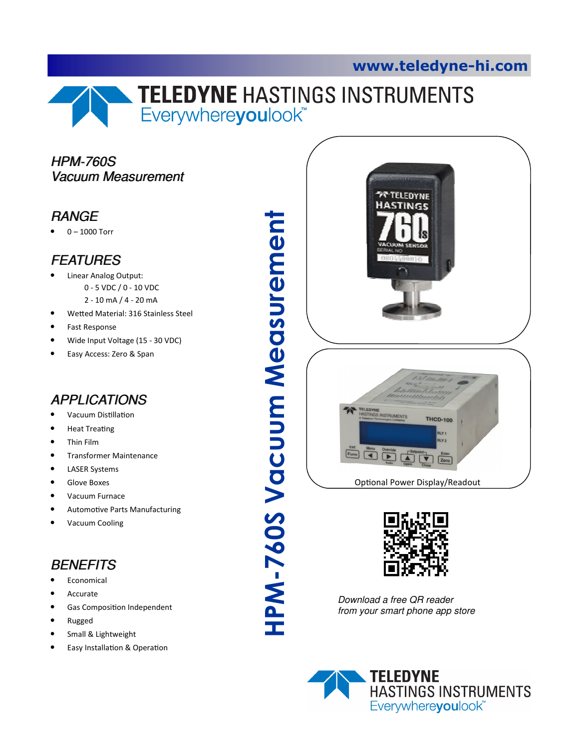

## **TELEDYNE HASTINGS INSTRUMENTS** Everywhereyoulook<sup>"</sup>

### HPM -760S Vacuum Measurement

## **RANGE**

 $0 - 1000$  Torr

## FEATURES

- Linear Analog Output: 0 - 5 VDC / 0 - 10 VDC
	- 2 10 mA / 4 20 mA
- Wetted Material: 316 Stainless Steel
- Fast Response
- Wide Input Voltage (15 30 VDC)
- Easy Access: Zero & Span

## APPLICATIONS

- Vacuum Distillation
- **Heat Treating**
- Thin Film
- Transformer Maintenance
- LASER Systems
- Glove Boxes
- Vacuum Furnace
- Automotive Parts Manufacturing
- Vacuum Cooling

## **BENEFITS**

- **Economical**
- **Accurate**
- Gas Composition Independent
- Rugged
- Small & Lightweight
- Easy Installation & Operation

HPM-760S Vacuum Measurement **HPM-760S Vacuum Measurement** 





Download a free QR reader from your smart phone app store

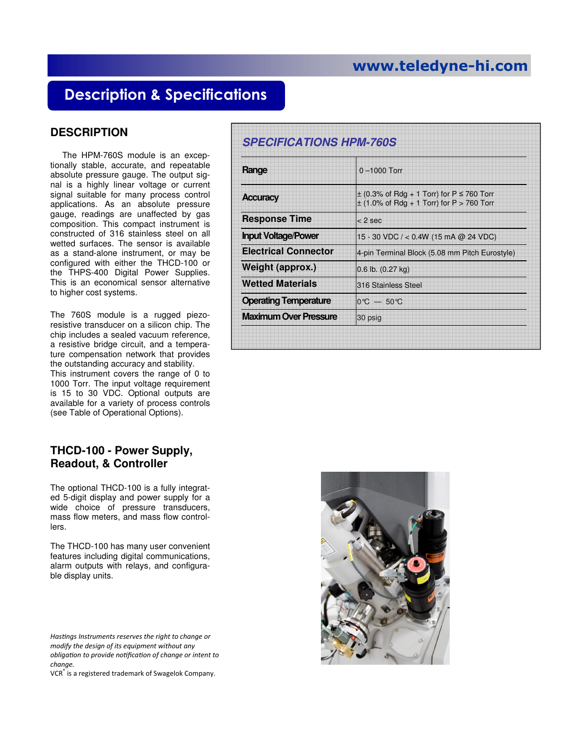## Description & Specifications

#### **DESCRIPTION**

 The HPM-760S module is an exceptionally stable, accurate, and repeatable absolute pressure gauge. The output signal is a highly linear voltage or current signal suitable for many process control applications. As an absolute pressure gauge, readings are unaffected by gas composition. This compact instrument is constructed of 316 stainless steel on all wetted surfaces. The sensor is available as a stand-alone instrument, or may be configured with either the THCD-100 or the THPS-400 Digital Power Supplies. This is an economical sensor alternative to higher cost systems.

The 760S module is a rugged piezoresistive transducer on a silicon chip. The chip includes a sealed vacuum reference, a resistive bridge circuit, and a temperature compensation network that provides the outstanding accuracy and stability. This instrument covers the range of 0 to 1000 Torr. The input voltage requirement is 15 to 30 VDC. Optional outputs are available for a variety of process controls (see Table of Operational Options).

#### **THCD-100 - Power Supply, Readout, & Controller**

The optional THCD-100 is a fully integrated 5-digit display and power supply for a wide choice of pressure transducers, mass flow meters, and mass flow controllers.

The THCD-100 has many user convenient features including digital communications, alarm outputs with relays, and configurable display units.

Hastings Instruments reserves the right to change or modify the design of its equipment without any obligation to provide notification of change or intent to change.

VCR® is a registered trademark of Swagelok Company.

| Range                        | $0 - 1000$ Torr                                                                                     |
|------------------------------|-----------------------------------------------------------------------------------------------------|
| <b>Accuracy</b>              | $\pm$ (0.3% of Rdg + 1 Torr) for P $\leq$ 760 Torr<br>$\pm$ (1.0% of Rdg + 1 Torr) for P > 760 Torr |
| <b>Response Time</b>         | $< 2$ sec                                                                                           |
| <b>Input Voltage/Power</b>   | 15 - 30 VDC / < 0.4W (15 mA @ 24 VDC)                                                               |
| <b>Electrical Connector</b>  | 4-pin Terminal Block (5.08 mm Pitch Eurostyle)                                                      |
| Weight (approx.)             | $0.6$ lb. $(0.27$ kg)                                                                               |
| <b>Wetted Materials</b>      | 316 Stainless Steel                                                                                 |
| <b>Operating Temperature</b> | $0^{\circ}C - 50^{\circ}C$                                                                          |
| <b>Maximum Over Pressure</b> | 30 psig                                                                                             |

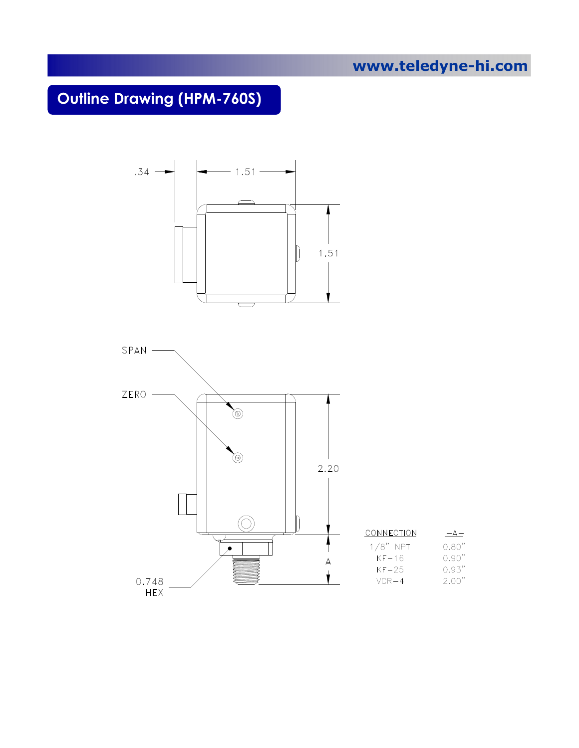# Outline Drawing (HPM-760S)